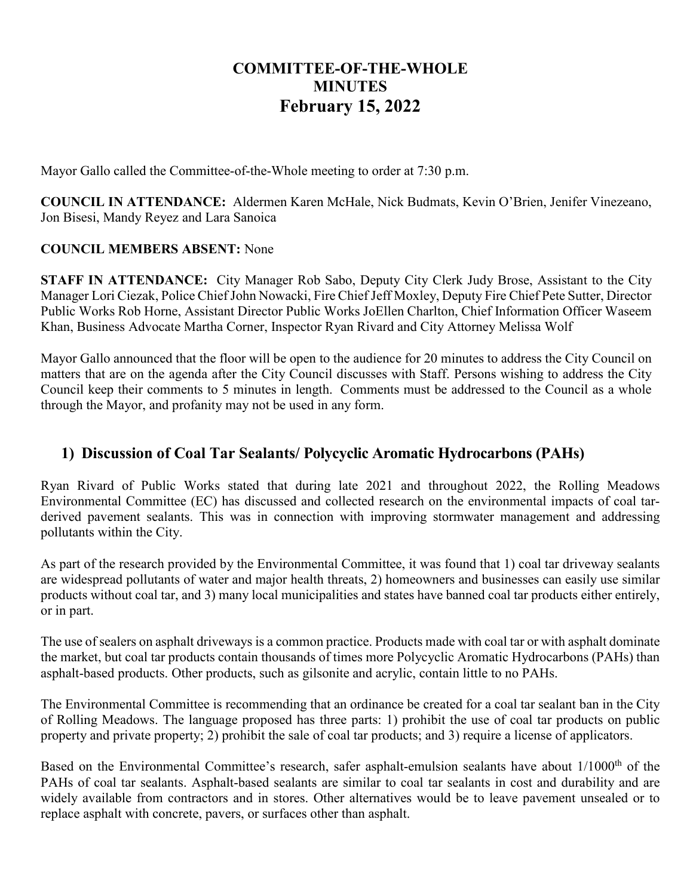# **COMMITTEE-OF-THE-WHOLE MINUTES February 15, 2022**

Mayor Gallo called the Committee-of-the-Whole meeting to order at 7:30 p.m.

**COUNCIL IN ATTENDANCE:** Aldermen Karen McHale, Nick Budmats, Kevin O'Brien, Jenifer Vinezeano, Jon Bisesi, Mandy Reyez and Lara Sanoica

#### **COUNCIL MEMBERS ABSENT:** None

**STAFF IN ATTENDANCE:** City Manager Rob Sabo, Deputy City Clerk Judy Brose, Assistant to the City Manager Lori Ciezak, Police ChiefJohn Nowacki, Fire Chief Jeff Moxley, Deputy Fire Chief Pete Sutter, Director Public Works Rob Horne, Assistant Director Public Works JoEllen Charlton, Chief Information Officer Waseem Khan, Business Advocate Martha Corner, Inspector Ryan Rivard and City Attorney Melissa Wolf

Mayor Gallo announced that the floor will be open to the audience for 20 minutes to address the City Council on matters that are on the agenda after the City Council discusses with Staff. Persons wishing to address the City Council keep their comments to 5 minutes in length. Comments must be addressed to the Council as a whole through the Mayor, and profanity may not be used in any form.

#### **1) Discussion of Coal Tar Sealants/ Polycyclic Aromatic Hydrocarbons (PAHs)**

Ryan Rivard of Public Works stated that during late 2021 and throughout 2022, the Rolling Meadows Environmental Committee (EC) has discussed and collected research on the environmental impacts of coal tarderived pavement sealants. This was in connection with improving stormwater management and addressing pollutants within the City.

As part of the research provided by the Environmental Committee, it was found that 1) coal tar driveway sealants are widespread pollutants of water and major health threats, 2) homeowners and businesses can easily use similar products without coal tar, and 3) many local municipalities and states have banned coal tar products either entirely, or in part.

The use of sealers on asphalt driveways is a common practice. Products made with coal tar or with asphalt dominate the market, but coal tar products contain thousands of times more Polycyclic Aromatic Hydrocarbons (PAHs) than asphalt-based products. Other products, such as gilsonite and acrylic, contain little to no PAHs.

The Environmental Committee is recommending that an ordinance be created for a coal tar sealant ban in the City of Rolling Meadows. The language proposed has three parts: 1) prohibit the use of coal tar products on public property and private property; 2) prohibit the sale of coal tar products; and 3) require a license of applicators.

Based on the Environmental Committee's research, safer asphalt-emulsion sealants have about 1/1000<sup>th</sup> of the PAHs of coal tar sealants. Asphalt-based sealants are similar to coal tar sealants in cost and durability and are widely available from contractors and in stores. Other alternatives would be to leave pavement unsealed or to replace asphalt with concrete, pavers, or surfaces other than asphalt.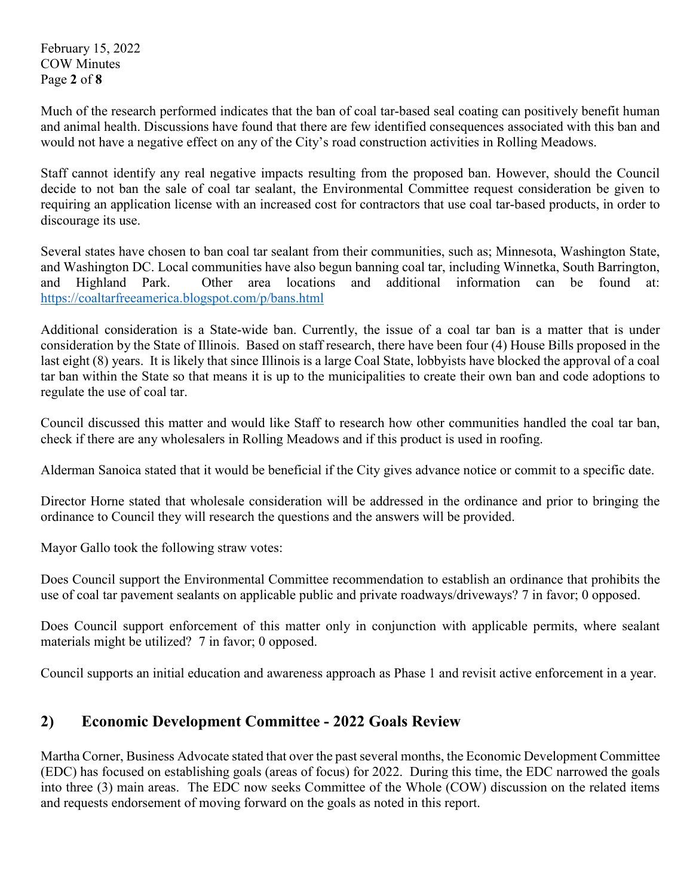February 15, 2022 COW Minutes Page **2** of **8**

Much of the research performed indicates that the ban of coal tar-based seal coating can positively benefit human and animal health. Discussions have found that there are few identified consequences associated with this ban and would not have a negative effect on any of the City's road construction activities in Rolling Meadows.

Staff cannot identify any real negative impacts resulting from the proposed ban. However, should the Council decide to not ban the sale of coal tar sealant, the Environmental Committee request consideration be given to requiring an application license with an increased cost for contractors that use coal tar-based products, in order to discourage its use.

Several states have chosen to ban coal tar sealant from their communities, such as; Minnesota, Washington State, and Washington DC. Local communities have also begun banning coal tar, including Winnetka, South Barrington, and Highland Park. Other area locations and additional information can be found at: <https://coaltarfreeamerica.blogspot.com/p/bans.html>

Additional consideration is a State-wide ban. Currently, the issue of a coal tar ban is a matter that is under consideration by the State of Illinois. Based on staff research, there have been four (4) House Bills proposed in the last eight (8) years. It is likely that since Illinois is a large Coal State, lobbyists have blocked the approval of a coal tar ban within the State so that means it is up to the municipalities to create their own ban and code adoptions to regulate the use of coal tar.

Council discussed this matter and would like Staff to research how other communities handled the coal tar ban, check if there are any wholesalers in Rolling Meadows and if this product is used in roofing.

Alderman Sanoica stated that it would be beneficial if the City gives advance notice or commit to a specific date.

Director Horne stated that wholesale consideration will be addressed in the ordinance and prior to bringing the ordinance to Council they will research the questions and the answers will be provided.

Mayor Gallo took the following straw votes:

Does Council support the Environmental Committee recommendation to establish an ordinance that prohibits the use of coal tar pavement sealants on applicable public and private roadways/driveways? 7 in favor; 0 opposed.

Does Council support enforcement of this matter only in conjunction with applicable permits, where sealant materials might be utilized? 7 in favor; 0 opposed.

Council supports an initial education and awareness approach as Phase 1 and revisit active enforcement in a year.

## **2) Economic Development Committee - 2022 Goals Review**

Martha Corner, Business Advocate stated that over the past several months, the Economic Development Committee (EDC) has focused on establishing goals (areas of focus) for 2022. During this time, the EDC narrowed the goals into three (3) main areas. The EDC now seeks Committee of the Whole (COW) discussion on the related items and requests endorsement of moving forward on the goals as noted in this report.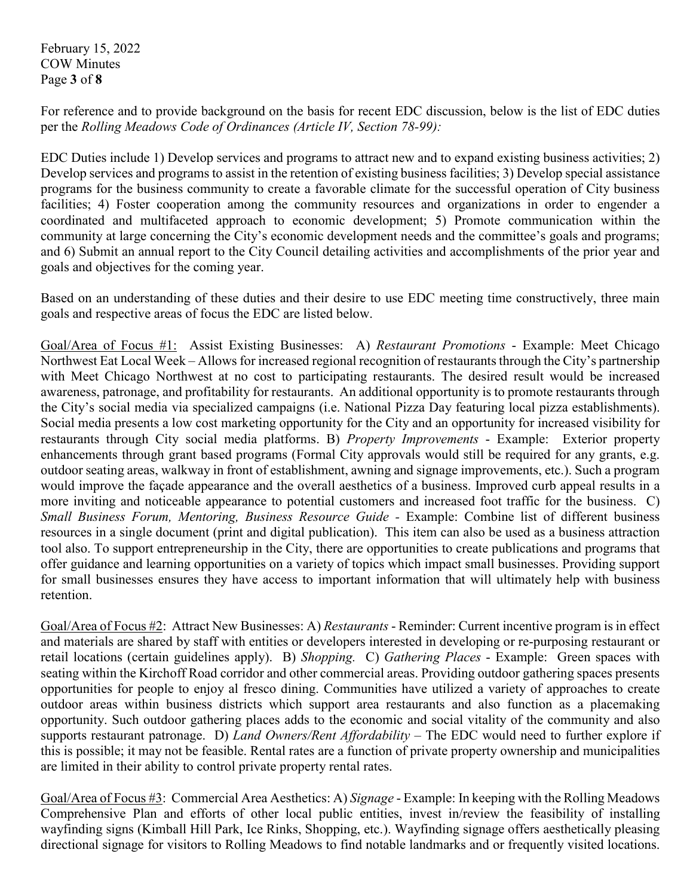February 15, 2022 COW Minutes Page **3** of **8**

For reference and to provide background on the basis for recent EDC discussion, below is the list of EDC duties per the *Rolling Meadows Code of Ordinances (Article IV, Section 78-99):*

EDC Duties include 1) Develop services and programs to attract new and to expand existing business activities; 2) Develop services and programs to assist in the retention of existing business facilities; 3) Develop special assistance programs for the business community to create a favorable climate for the successful operation of City business facilities; 4) Foster cooperation among the community resources and organizations in order to engender a coordinated and multifaceted approach to economic development; 5) Promote communication within the community at large concerning the City's economic development needs and the committee's goals and programs; and 6) Submit an annual report to the City Council detailing activities and accomplishments of the prior year and goals and objectives for the coming year.

Based on an understanding of these duties and their desire to use EDC meeting time constructively, three main goals and respective areas of focus the EDC are listed below.

Goal/Area of Focus #1: Assist Existing Businesses: A) *Restaurant Promotions* - Example: Meet Chicago Northwest Eat Local Week – Allows for increased regional recognition of restaurants through the City's partnership with Meet Chicago Northwest at no cost to participating restaurants. The desired result would be increased awareness, patronage, and profitability for restaurants. An additional opportunity is to promote restaurants through the City's social media via specialized campaigns (i.e. National Pizza Day featuring local pizza establishments). Social media presents a low cost marketing opportunity for the City and an opportunity for increased visibility for restaurants through City social media platforms. B) *Property Improvements* - Example: Exterior property enhancements through grant based programs (Formal City approvals would still be required for any grants, e.g. outdoor seating areas, walkway in front of establishment, awning and signage improvements, etc.). Such a program would improve the façade appearance and the overall aesthetics of a business. Improved curb appeal results in a more inviting and noticeable appearance to potential customers and increased foot traffic for the business. C) *Small Business Forum, Mentoring, Business Resource Guide -* Example: Combine list of different business resources in a single document (print and digital publication). This item can also be used as a business attraction tool also. To support entrepreneurship in the City, there are opportunities to create publications and programs that offer guidance and learning opportunities on a variety of topics which impact small businesses. Providing support for small businesses ensures they have access to important information that will ultimately help with business retention.

Goal/Area of Focus #2: Attract New Businesses: A) *Restaurants* - Reminder: Current incentive program is in effect and materials are shared by staff with entities or developers interested in developing or re-purposing restaurant or retail locations (certain guidelines apply). B) *Shopping.* C) *Gathering Places* - Example: Green spaces with seating within the Kirchoff Road corridor and other commercial areas. Providing outdoor gathering spaces presents opportunities for people to enjoy al fresco dining. Communities have utilized a variety of approaches to create outdoor areas within business districts which support area restaurants and also function as a placemaking opportunity. Such outdoor gathering places adds to the economic and social vitality of the community and also supports restaurant patronage. D) *Land Owners/Rent Affordability* – The EDC would need to further explore if this is possible; it may not be feasible. Rental rates are a function of private property ownership and municipalities are limited in their ability to control private property rental rates.

Goal/Area of Focus #3: Commercial Area Aesthetics: A) *Signage* - Example: In keeping with the Rolling Meadows Comprehensive Plan and efforts of other local public entities, invest in/review the feasibility of installing wayfinding signs (Kimball Hill Park, Ice Rinks, Shopping, etc.). Wayfinding signage offers aesthetically pleasing directional signage for visitors to Rolling Meadows to find notable landmarks and or frequently visited locations.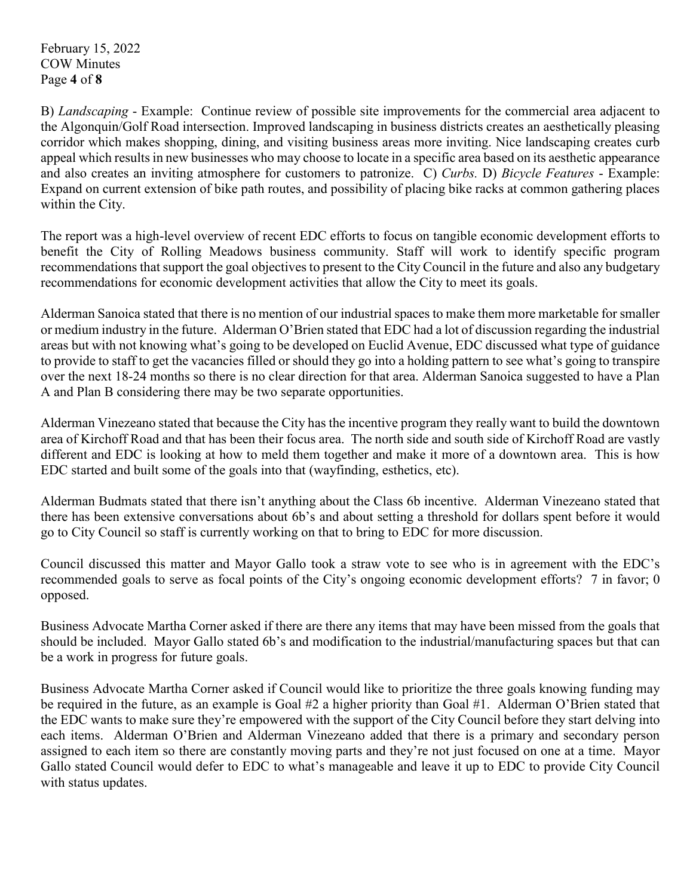February 15, 2022 COW Minutes Page **4** of **8**

B) *Landscaping* - Example: Continue review of possible site improvements for the commercial area adjacent to the Algonquin/Golf Road intersection. Improved landscaping in business districts creates an aesthetically pleasing corridor which makes shopping, dining, and visiting business areas more inviting. Nice landscaping creates curb appeal which results in new businesses who may choose to locate in a specific area based on its aesthetic appearance and also creates an inviting atmosphere for customers to patronize. C) *Curbs.* D) *Bicycle Features* - Example: Expand on current extension of bike path routes, and possibility of placing bike racks at common gathering places within the City.

The report was a high-level overview of recent EDC efforts to focus on tangible economic development efforts to benefit the City of Rolling Meadows business community. Staff will work to identify specific program recommendations that support the goal objectives to present to the City Council in the future and also any budgetary recommendations for economic development activities that allow the City to meet its goals.

Alderman Sanoica stated that there is no mention of our industrial spaces to make them more marketable for smaller or medium industry in the future. Alderman O'Brien stated that EDC had a lot of discussion regarding the industrial areas but with not knowing what's going to be developed on Euclid Avenue, EDC discussed what type of guidance to provide to staff to get the vacancies filled or should they go into a holding pattern to see what's going to transpire over the next 18-24 months so there is no clear direction for that area. Alderman Sanoica suggested to have a Plan A and Plan B considering there may be two separate opportunities.

Alderman Vinezeano stated that because the City has the incentive program they really want to build the downtown area of Kirchoff Road and that has been their focus area. The north side and south side of Kirchoff Road are vastly different and EDC is looking at how to meld them together and make it more of a downtown area. This is how EDC started and built some of the goals into that (wayfinding, esthetics, etc).

Alderman Budmats stated that there isn't anything about the Class 6b incentive. Alderman Vinezeano stated that there has been extensive conversations about 6b's and about setting a threshold for dollars spent before it would go to City Council so staff is currently working on that to bring to EDC for more discussion.

Council discussed this matter and Mayor Gallo took a straw vote to see who is in agreement with the EDC's recommended goals to serve as focal points of the City's ongoing economic development efforts? 7 in favor; 0 opposed.

Business Advocate Martha Corner asked if there are there any items that may have been missed from the goals that should be included. Mayor Gallo stated 6b's and modification to the industrial/manufacturing spaces but that can be a work in progress for future goals.

Business Advocate Martha Corner asked if Council would like to prioritize the three goals knowing funding may be required in the future, as an example is Goal #2 a higher priority than Goal #1. Alderman O'Brien stated that the EDC wants to make sure they're empowered with the support of the City Council before they start delving into each items. Alderman O'Brien and Alderman Vinezeano added that there is a primary and secondary person assigned to each item so there are constantly moving parts and they're not just focused on one at a time. Mayor Gallo stated Council would defer to EDC to what's manageable and leave it up to EDC to provide City Council with status updates.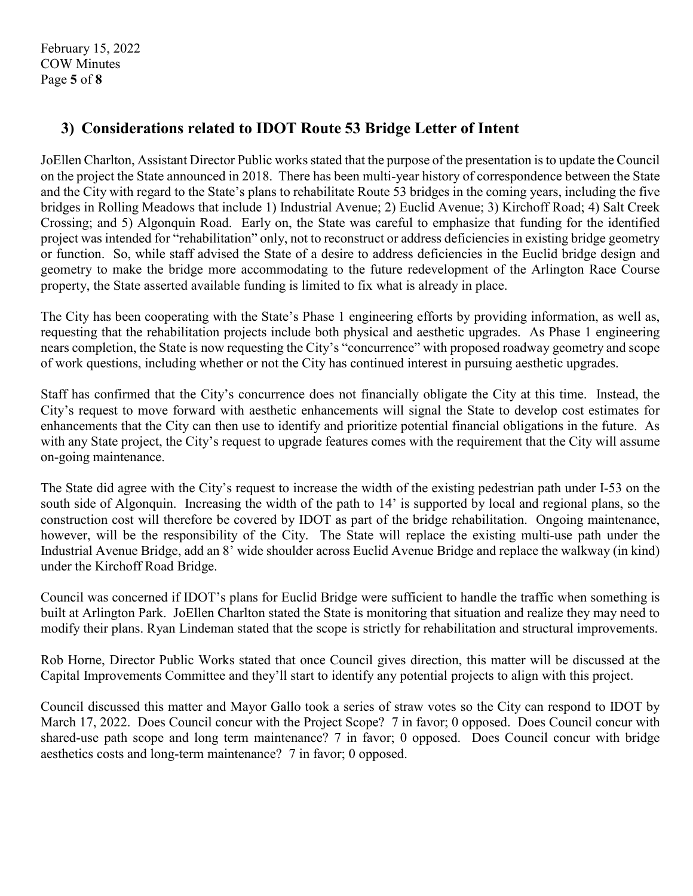# **3) Considerations related to IDOT Route 53 Bridge Letter of Intent**

JoEllen Charlton, Assistant Director Public works stated that the purpose of the presentation is to update the Council on the project the State announced in 2018. There has been multi-year history of correspondence between the State and the City with regard to the State's plans to rehabilitate Route 53 bridges in the coming years, including the five bridges in Rolling Meadows that include 1) Industrial Avenue; 2) Euclid Avenue; 3) Kirchoff Road; 4) Salt Creek Crossing; and 5) Algonquin Road. Early on, the State was careful to emphasize that funding for the identified project was intended for "rehabilitation" only, not to reconstruct or address deficiencies in existing bridge geometry or function. So, while staff advised the State of a desire to address deficiencies in the Euclid bridge design and geometry to make the bridge more accommodating to the future redevelopment of the Arlington Race Course property, the State asserted available funding is limited to fix what is already in place.

The City has been cooperating with the State's Phase 1 engineering efforts by providing information, as well as, requesting that the rehabilitation projects include both physical and aesthetic upgrades. As Phase 1 engineering nears completion, the State is now requesting the City's "concurrence" with proposed roadway geometry and scope of work questions, including whether or not the City has continued interest in pursuing aesthetic upgrades.

Staff has confirmed that the City's concurrence does not financially obligate the City at this time. Instead, the City's request to move forward with aesthetic enhancements will signal the State to develop cost estimates for enhancements that the City can then use to identify and prioritize potential financial obligations in the future. As with any State project, the City's request to upgrade features comes with the requirement that the City will assume on-going maintenance.

The State did agree with the City's request to increase the width of the existing pedestrian path under I-53 on the south side of Algonquin. Increasing the width of the path to 14' is supported by local and regional plans, so the construction cost will therefore be covered by IDOT as part of the bridge rehabilitation. Ongoing maintenance, however, will be the responsibility of the City. The State will replace the existing multi-use path under the Industrial Avenue Bridge, add an 8' wide shoulder across Euclid Avenue Bridge and replace the walkway (in kind) under the Kirchoff Road Bridge.

Council was concerned if IDOT's plans for Euclid Bridge were sufficient to handle the traffic when something is built at Arlington Park. JoEllen Charlton stated the State is monitoring that situation and realize they may need to modify their plans. Ryan Lindeman stated that the scope is strictly for rehabilitation and structural improvements.

Rob Horne, Director Public Works stated that once Council gives direction, this matter will be discussed at the Capital Improvements Committee and they'll start to identify any potential projects to align with this project.

Council discussed this matter and Mayor Gallo took a series of straw votes so the City can respond to IDOT by March 17, 2022. Does Council concur with the Project Scope? 7 in favor; 0 opposed. Does Council concur with shared-use path scope and long term maintenance? 7 in favor; 0 opposed. Does Council concur with bridge aesthetics costs and long-term maintenance? 7 in favor; 0 opposed.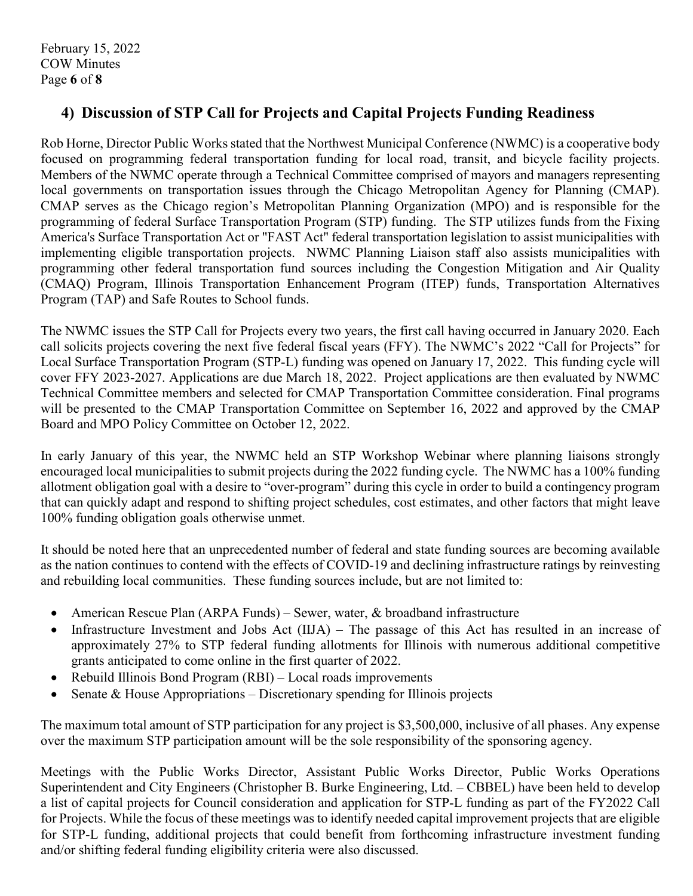## **4) Discussion of STP Call for Projects and Capital Projects Funding Readiness**

Rob Horne, Director Public Works stated that the Northwest Municipal Conference (NWMC) is a cooperative body focused on programming federal transportation funding for local road, transit, and bicycle facility projects. Members of the NWMC operate through a Technical Committee comprised of mayors and managers representing local governments on transportation issues through the Chicago Metropolitan Agency for Planning (CMAP). CMAP serves as the Chicago region's Metropolitan Planning Organization (MPO) and is responsible for the programming of federal Surface Transportation Program (STP) funding. The STP utilizes funds from the Fixing America's Surface Transportation Act or "FAST Act" federal transportation legislation to assist municipalities with implementing eligible transportation projects. NWMC Planning Liaison staff also assists municipalities with programming other federal transportation fund sources including the Congestion Mitigation and Air Quality (CMAQ) Program, Illinois Transportation Enhancement Program (ITEP) funds, Transportation Alternatives Program (TAP) and Safe Routes to School funds.

The NWMC issues the STP Call for Projects every two years, the first call having occurred in January 2020. Each call solicits projects covering the next five federal fiscal years (FFY). The NWMC's 2022 "Call for Projects" for Local Surface Transportation Program (STP-L) funding was opened on January 17, 2022. This funding cycle will cover FFY 2023‐2027. Applications are due March 18, 2022. Project applications are then evaluated by NWMC Technical Committee members and selected for CMAP Transportation Committee consideration. Final programs will be presented to the CMAP Transportation Committee on September 16, 2022 and approved by the CMAP Board and MPO Policy Committee on October 12, 2022.

In early January of this year, the NWMC held an STP Workshop Webinar where planning liaisons strongly encouraged local municipalities to submit projects during the 2022 funding cycle. The NWMC has a 100% funding allotment obligation goal with a desire to "over-program" during this cycle in order to build a contingency program that can quickly adapt and respond to shifting project schedules, cost estimates, and other factors that might leave 100% funding obligation goals otherwise unmet.

It should be noted here that an unprecedented number of federal and state funding sources are becoming available as the nation continues to contend with the effects of COVID-19 and declining infrastructure ratings by reinvesting and rebuilding local communities. These funding sources include, but are not limited to:

- American Rescue Plan (ARPA Funds) Sewer, water, & broadband infrastructure
- Infrastructure Investment and Jobs Act (IIJA) The passage of this Act has resulted in an increase of approximately 27% to STP federal funding allotments for Illinois with numerous additional competitive grants anticipated to come online in the first quarter of 2022.
- Rebuild Illinois Bond Program (RBI) Local roads improvements
- Senate & House Appropriations Discretionary spending for Illinois projects

The maximum total amount of STP participation for any project is \$3,500,000, inclusive of all phases. Any expense over the maximum STP participation amount will be the sole responsibility of the sponsoring agency.

Meetings with the Public Works Director, Assistant Public Works Director, Public Works Operations Superintendent and City Engineers (Christopher B. Burke Engineering, Ltd. – CBBEL) have been held to develop a list of capital projects for Council consideration and application for STP-L funding as part of the FY2022 Call for Projects. While the focus of these meetings was to identify needed capital improvement projects that are eligible for STP-L funding, additional projects that could benefit from forthcoming infrastructure investment funding and/or shifting federal funding eligibility criteria were also discussed.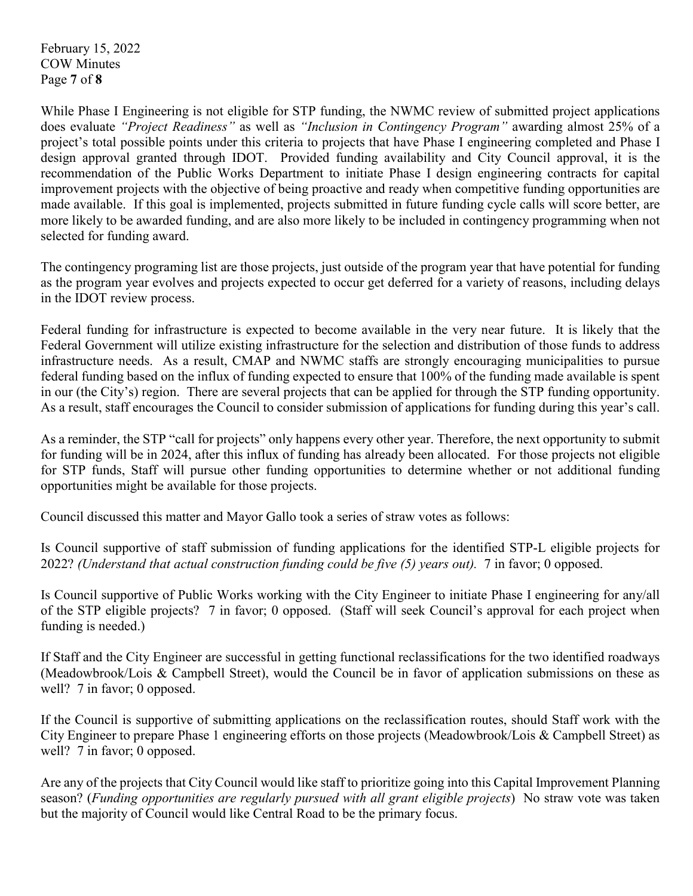February 15, 2022 COW Minutes Page **7** of **8**

While Phase I Engineering is not eligible for STP funding, the NWMC review of submitted project applications does evaluate *"Project Readiness"* as well as *"Inclusion in Contingency Program"* awarding almost 25% of a project's total possible points under this criteria to projects that have Phase I engineering completed and Phase I design approval granted through IDOT. Provided funding availability and City Council approval, it is the recommendation of the Public Works Department to initiate Phase I design engineering contracts for capital improvement projects with the objective of being proactive and ready when competitive funding opportunities are made available. If this goal is implemented, projects submitted in future funding cycle calls will score better, are more likely to be awarded funding, and are also more likely to be included in contingency programming when not selected for funding award.

The contingency programing list are those projects, just outside of the program year that have potential for funding as the program year evolves and projects expected to occur get deferred for a variety of reasons, including delays in the IDOT review process.

Federal funding for infrastructure is expected to become available in the very near future. It is likely that the Federal Government will utilize existing infrastructure for the selection and distribution of those funds to address infrastructure needs. As a result, CMAP and NWMC staffs are strongly encouraging municipalities to pursue federal funding based on the influx of funding expected to ensure that 100% of the funding made available is spent in our (the City's) region. There are several projects that can be applied for through the STP funding opportunity. As a result, staff encourages the Council to consider submission of applications for funding during this year's call.

As a reminder, the STP "call for projects" only happens every other year. Therefore, the next opportunity to submit for funding will be in 2024, after this influx of funding has already been allocated. For those projects not eligible for STP funds, Staff will pursue other funding opportunities to determine whether or not additional funding opportunities might be available for those projects.

Council discussed this matter and Mayor Gallo took a series of straw votes as follows:

Is Council supportive of staff submission of funding applications for the identified STP-L eligible projects for 2022? *(Understand that actual construction funding could be five (5) years out).* 7 in favor; 0 opposed.

Is Council supportive of Public Works working with the City Engineer to initiate Phase I engineering for any/all of the STP eligible projects? 7 in favor; 0 opposed. (Staff will seek Council's approval for each project when funding is needed.)

If Staff and the City Engineer are successful in getting functional reclassifications for the two identified roadways (Meadowbrook/Lois & Campbell Street), would the Council be in favor of application submissions on these as well? 7 in favor; 0 opposed.

If the Council is supportive of submitting applications on the reclassification routes, should Staff work with the City Engineer to prepare Phase 1 engineering efforts on those projects (Meadowbrook/Lois & Campbell Street) as well? 7 in favor; 0 opposed.

Are any of the projects that City Council would like staff to prioritize going into this Capital Improvement Planning season? (*Funding opportunities are regularly pursued with all grant eligible projects*) No straw vote was taken but the majority of Council would like Central Road to be the primary focus.